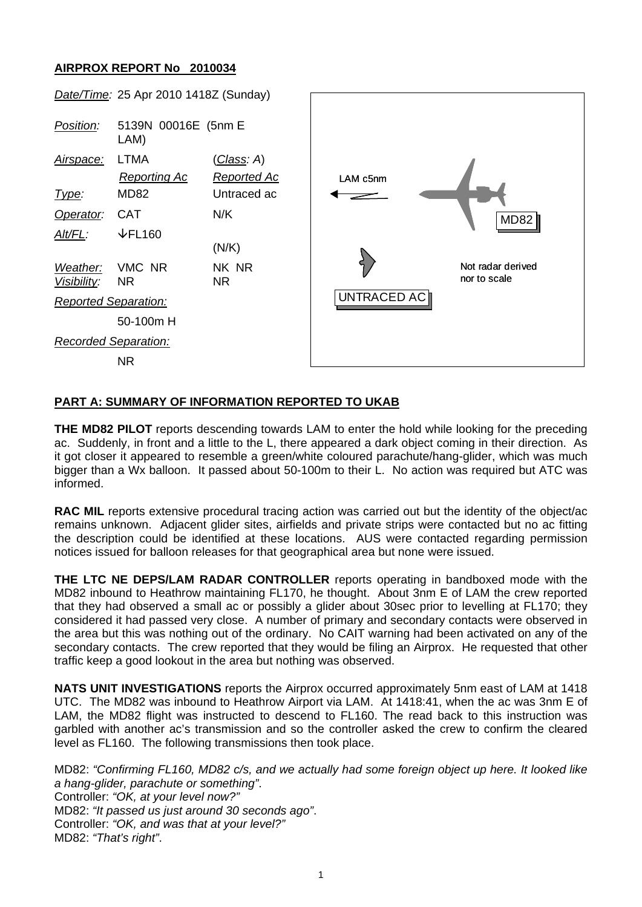## **AIRPROX REPORT No 2010034**



## **PART A: SUMMARY OF INFORMATION REPORTED TO UKAB**

**THE MD82 PILOT** reports descending towards LAM to enter the hold while looking for the preceding ac. Suddenly, in front and a little to the L, there appeared a dark object coming in their direction. As it got closer it appeared to resemble a green/white coloured parachute/hang-glider, which was much bigger than a Wx balloon. It passed about 50-100m to their L. No action was required but ATC was informed.

**RAC MIL** reports extensive procedural tracing action was carried out but the identity of the object/ac remains unknown. Adjacent glider sites, airfields and private strips were contacted but no ac fitting the description could be identified at these locations. AUS were contacted regarding permission notices issued for balloon releases for that geographical area but none were issued.

**THE LTC NE DEPS/LAM RADAR CONTROLLER** reports operating in bandboxed mode with the MD82 inbound to Heathrow maintaining FL170, he thought. About 3nm E of LAM the crew reported that they had observed a small ac or possibly a glider about 30sec prior to levelling at FL170; they considered it had passed very close. A number of primary and secondary contacts were observed in the area but this was nothing out of the ordinary. No CAIT warning had been activated on any of the secondary contacts. The crew reported that they would be filing an Airprox. He requested that other traffic keep a good lookout in the area but nothing was observed.

**NATS UNIT INVESTIGATIONS** reports the Airprox occurred approximately 5nm east of LAM at 1418 UTC. The MD82 was inbound to Heathrow Airport via LAM. At 1418:41, when the ac was 3nm E of LAM, the MD82 flight was instructed to descend to FL160. The read back to this instruction was garbled with another ac's transmission and so the controller asked the crew to confirm the cleared level as FL160. The following transmissions then took place.

MD82: *"Confirming FL160, MD82 c/s, and we actually had some foreign object up here. It looked like a hang-glider, parachute or something"*. Controller: *"OK, at your level now?"* MD82: *"It passed us just around 30 seconds ago"*. Controller: *"OK, and was that at your level?"* MD82: *"That's right"*.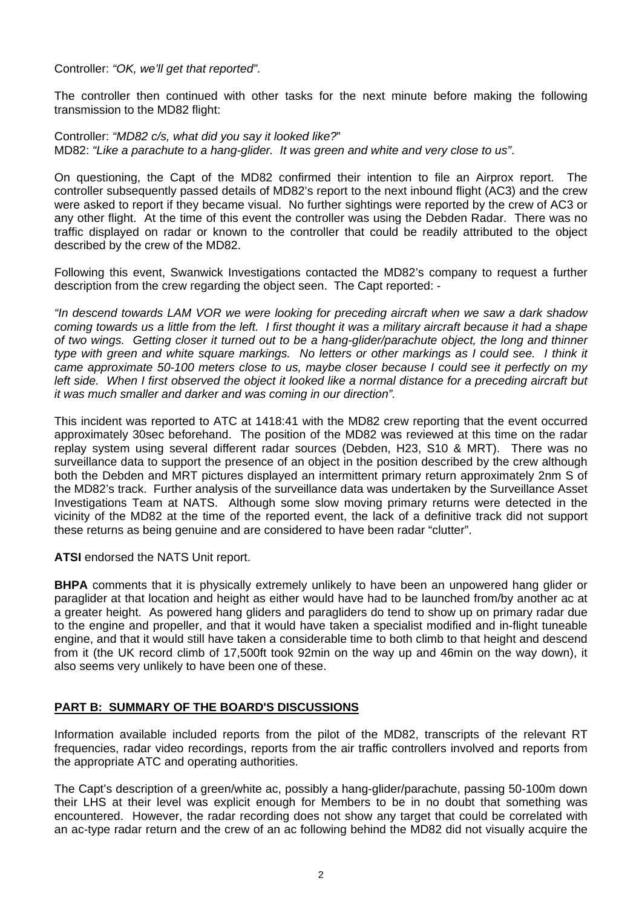Controller: *"OK, we'll get that reported"*.

The controller then continued with other tasks for the next minute before making the following transmission to the MD82 flight:

Controller: *"MD82 c/s, what did you say it looked like?*" MD82: *"Like a parachute to a hang-glider. It was green and white and very close to us"*.

On questioning, the Capt of the MD82 confirmed their intention to file an Airprox report. The controller subsequently passed details of MD82's report to the next inbound flight (AC3) and the crew were asked to report if they became visual. No further sightings were reported by the crew of AC3 or any other flight. At the time of this event the controller was using the Debden Radar. There was no traffic displayed on radar or known to the controller that could be readily attributed to the object described by the crew of the MD82.

Following this event, Swanwick Investigations contacted the MD82's company to request a further description from the crew regarding the object seen. The Capt reported: -

*"In descend towards LAM VOR we were looking for preceding aircraft when we saw a dark shadow coming towards us a little from the left. I first thought it was a military aircraft because it had a shape of two wings. Getting closer it turned out to be a hang-glider/parachute object, the long and thinner type with green and white square markings. No letters or other markings as I could see. I think it came approximate 50-100 meters close to us, maybe closer because I could see it perfectly on my left side. When I first observed the object it looked like a normal distance for a preceding aircraft but it was much smaller and darker and was coming in our direction".* 

This incident was reported to ATC at 1418:41 with the MD82 crew reporting that the event occurred approximately 30sec beforehand. The position of the MD82 was reviewed at this time on the radar replay system using several different radar sources (Debden, H23, S10 & MRT). There was no surveillance data to support the presence of an object in the position described by the crew although both the Debden and MRT pictures displayed an intermittent primary return approximately 2nm S of the MD82's track. Further analysis of the surveillance data was undertaken by the Surveillance Asset Investigations Team at NATS. Although some slow moving primary returns were detected in the vicinity of the MD82 at the time of the reported event, the lack of a definitive track did not support these returns as being genuine and are considered to have been radar "clutter".

**ATSI** endorsed the NATS Unit report.

**BHPA** comments that it is physically extremely unlikely to have been an unpowered hang glider or paraglider at that location and height as either would have had to be launched from/by another ac at a greater height. As powered hang gliders and paragliders do tend to show up on primary radar due to the engine and propeller, and that it would have taken a specialist modified and in-flight tuneable engine, and that it would still have taken a considerable time to both climb to that height and descend from it (the UK record climb of 17,500ft took 92min on the way up and 46min on the way down), it also seems very unlikely to have been one of these.

## **PART B: SUMMARY OF THE BOARD'S DISCUSSIONS**

Information available included reports from the pilot of the MD82, transcripts of the relevant RT frequencies, radar video recordings, reports from the air traffic controllers involved and reports from the appropriate ATC and operating authorities.

The Capt's description of a green/white ac, possibly a hang-glider/parachute, passing 50-100m down their LHS at their level was explicit enough for Members to be in no doubt that something was encountered. However, the radar recording does not show any target that could be correlated with an ac-type radar return and the crew of an ac following behind the MD82 did not visually acquire the